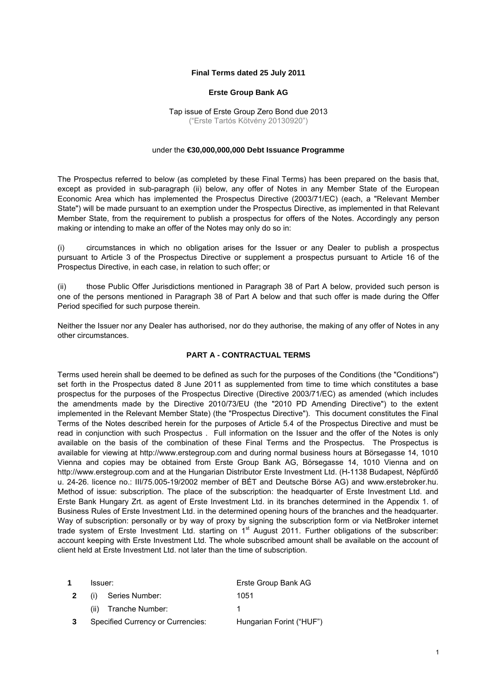### **Final Terms dated 25 July 2011**

#### **Erste Group Bank AG**

Tap issue of Erste Group Zero Bond due 2013 ("Erste Tartós Kötvény 20130920")

#### under the **€30,000,000,000 Debt Issuance Programme**

The Prospectus referred to below (as completed by these Final Terms) has been prepared on the basis that, except as provided in sub-paragraph (ii) below, any offer of Notes in any Member State of the European Economic Area which has implemented the Prospectus Directive (2003/71/EC) (each, a "Relevant Member State") will be made pursuant to an exemption under the Prospectus Directive, as implemented in that Relevant Member State, from the requirement to publish a prospectus for offers of the Notes. Accordingly any person making or intending to make an offer of the Notes may only do so in:

(i) circumstances in which no obligation arises for the Issuer or any Dealer to publish a prospectus pursuant to Article 3 of the Prospectus Directive or supplement a prospectus pursuant to Article 16 of the Prospectus Directive, in each case, in relation to such offer; or

(ii) those Public Offer Jurisdictions mentioned in Paragraph 38 of Part A below, provided such person is one of the persons mentioned in Paragraph 38 of Part A below and that such offer is made during the Offer Period specified for such purpose therein.

Neither the Issuer nor any Dealer has authorised, nor do they authorise, the making of any offer of Notes in any other circumstances.

#### **PART A - CONTRACTUAL TERMS**

Terms used herein shall be deemed to be defined as such for the purposes of the Conditions (the "Conditions") set forth in the Prospectus dated 8 June 2011 as supplemented from time to time which constitutes a base prospectus for the purposes of the Prospectus Directive (Directive 2003/71/EC) as amended (which includes the amendments made by the Directive 2010/73/EU (the "2010 PD Amending Directive") to the extent implemented in the Relevant Member State) (the "Prospectus Directive"). This document constitutes the Final Terms of the Notes described herein for the purposes of Article 5.4 of the Prospectus Directive and must be read in conjunction with such Prospectus . Full information on the Issuer and the offer of the Notes is only available on the basis of the combination of these Final Terms and the Prospectus. The Prospectus is available for viewing at http://www.erstegroup.com and during normal business hours at Börsegasse 14, 1010 Vienna and copies may be obtained from Erste Group Bank AG, Börsegasse 14, 1010 Vienna and on http://www.erstegroup.com and at the Hungarian Distributor Erste Investment Ltd. (H-1138 Budapest, Népfürdő u. 24-26. licence no.: III/75.005-19/2002 member of BÉT and Deutsche Börse AG) and [www.erstebroker.hu](http://www.erstebroker.hu/). Method of issue: subscription. The place of the subscription: the headquarter of Erste Investment Ltd. and Erste Bank Hungary Zrt. as agent of Erste Investment Ltd. in its branches determined in the Appendix 1. of Business Rules of Erste Investment Ltd. in the determined opening hours of the branches and the headquarter. Way of subscription: personally or by way of proxy by signing the subscription form or via NetBroker internet trade system of Erste Investment Ltd. starting on 1<sup>st</sup> August 2011. Further obligations of the subscriber: account keeping with Erste Investment Ltd. The whole subscribed amount shall be available on the account of client held at Erste Investment Ltd. not later than the time of subscription.

| 1 | Issuer:                                  | Erste Group Bank AG      |
|---|------------------------------------------|--------------------------|
| 2 | (i) Series Number:                       | 1051                     |
|   | (ii) Tranche Number:                     |                          |
|   | <b>Specified Currency or Currencies:</b> | Hungarian Forint ("HUF") |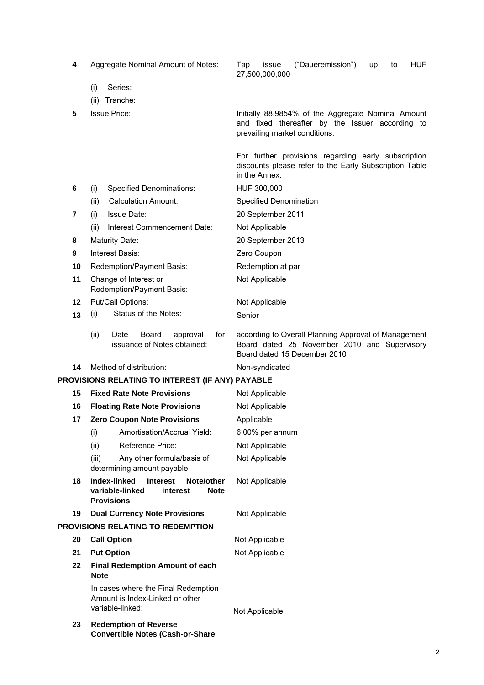| 4  |             | Aggregate Nominal Amount of Notes:                                                                               | <b>HUF</b><br>("Daueremission")<br>Tap<br>issue<br>up<br>to<br>27,500,000,000                                                          |
|----|-------------|------------------------------------------------------------------------------------------------------------------|----------------------------------------------------------------------------------------------------------------------------------------|
|    | (i)         | Series:                                                                                                          |                                                                                                                                        |
|    | (ii)        | Tranche:                                                                                                         |                                                                                                                                        |
| 5  |             | <b>Issue Price:</b>                                                                                              | Initially 88.9854% of the Aggregate Nominal Amount<br>and fixed thereafter by the Issuer according to<br>prevailing market conditions. |
|    |             |                                                                                                                  | For further provisions regarding early subscription<br>discounts please refer to the Early Subscription Table<br>in the Annex.         |
| 6  | (i)         | <b>Specified Denominations:</b>                                                                                  | HUF 300,000                                                                                                                            |
|    | (ii)        | <b>Calculation Amount:</b>                                                                                       | Specified Denomination                                                                                                                 |
| 7  | (i)         | <b>Issue Date:</b>                                                                                               | 20 September 2011                                                                                                                      |
|    | (ii)        | Interest Commencement Date:                                                                                      | Not Applicable                                                                                                                         |
| 8  |             | <b>Maturity Date:</b>                                                                                            | 20 September 2013                                                                                                                      |
| 9  |             | Interest Basis:                                                                                                  | Zero Coupon                                                                                                                            |
| 10 |             | Redemption/Payment Basis:                                                                                        | Redemption at par                                                                                                                      |
| 11 |             | Change of Interest or<br>Redemption/Payment Basis:                                                               | Not Applicable                                                                                                                         |
| 12 |             | Put/Call Options:                                                                                                | Not Applicable                                                                                                                         |
| 13 | (i)         | Status of the Notes:                                                                                             | Senior                                                                                                                                 |
|    | (ii)        | Date<br>Board<br>for<br>approval<br>issuance of Notes obtained:                                                  | according to Overall Planning Approval of Management<br>Board dated 25 November 2010 and Supervisory<br>Board dated 15 December 2010   |
| 14 |             | Method of distribution:                                                                                          | Non-syndicated                                                                                                                         |
|    |             | PROVISIONS RELATING TO INTEREST (IF ANY) PAYABLE                                                                 |                                                                                                                                        |
| 15 |             | <b>Fixed Rate Note Provisions</b>                                                                                | Not Applicable                                                                                                                         |
| 16 |             | <b>Floating Rate Note Provisions</b>                                                                             | Not Applicable                                                                                                                         |
| 17 |             | <b>Zero Coupon Note Provisions</b>                                                                               | Applicable                                                                                                                             |
|    | (i)         | Amortisation/Accrual Yield:                                                                                      | 6.00% per annum                                                                                                                        |
|    | (ii)        | Reference Price:                                                                                                 | Not Applicable                                                                                                                         |
|    | (iii)       | Any other formula/basis of<br>determining amount payable:                                                        | Not Applicable                                                                                                                         |
| 18 |             | Index-linked<br><b>Interest</b><br>Note/other<br>variable-linked<br>interest<br><b>Note</b><br><b>Provisions</b> | Not Applicable                                                                                                                         |
| 19 |             | <b>Dual Currency Note Provisions</b>                                                                             | Not Applicable                                                                                                                         |
|    |             | <b>PROVISIONS RELATING TO REDEMPTION</b>                                                                         |                                                                                                                                        |
| 20 |             | <b>Call Option</b>                                                                                               | Not Applicable                                                                                                                         |
| 21 |             | <b>Put Option</b>                                                                                                | Not Applicable                                                                                                                         |
| 22 | <b>Note</b> | <b>Final Redemption Amount of each</b>                                                                           |                                                                                                                                        |
|    |             | In cases where the Final Redemption<br>Amount is Index-Linked or other<br>variable-linked:                       | Not Applicable                                                                                                                         |
| 23 |             | <b>Redemption of Reverse</b><br><b>Convertible Notes (Cash-or-Share</b>                                          |                                                                                                                                        |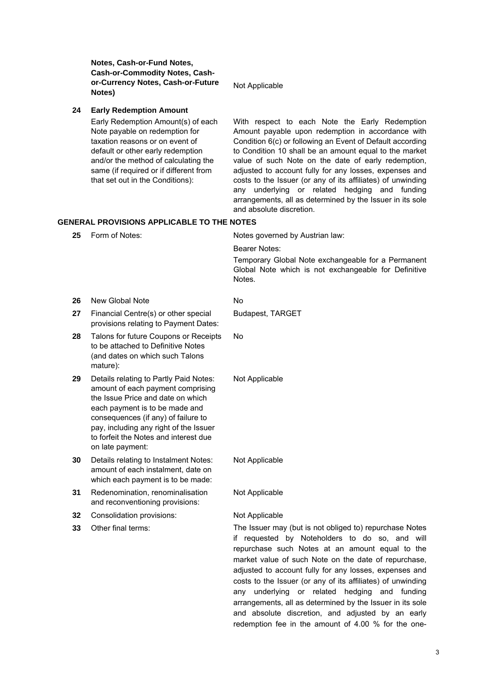**Notes, Cash-or-Fund Notes, Cash-or-Commodity Notes, Cashor-Currency Notes, Cash-or-Future Notes)** Not Applicable **24 Early Redemption Amount**  Early Redemption Amount(s) of each Note payable on redemption for taxation reasons or on event of default or other early redemption and/or the method of calculating the same (if required or if different from that set out in the Conditions): With respect to each Note the Early Redemption Amount payable upon redemption in accordance with Condition 6(c) or following an Event of Default according to Condition 10 shall be an amount equal to the market value of such Note on the date of early redemption, adjusted to account fully for any losses, expenses and costs to the Issuer (or any of its affiliates) of unwinding any underlying or related hedging and funding arrangements, all as determined by the Issuer in its sole and absolute discretion. **GENERAL PROVISIONS APPLICABLE TO THE NOTES 25 Form of Notes:** Notes governed by Austrian law: Bearer Notes: Temporary Global Note exchangeable for a Permanent Global Note which is not exchangeable for Definitive Notes. **26** New Global Note No **27** Financial Centre(s) or other special provisions relating to Payment Dates: Budapest, TARGET **28** Talons for future Coupons or Receipts to be attached to Definitive Notes (and dates on which such Talons mature): No **29** Details relating to Partly Paid Notes: amount of each payment comprising the Issue Price and date on which each payment is to be made and consequences (if any) of failure to pay, including any right of the Issuer to forfeit the Notes and interest due on late payment: Not Applicable **30** Details relating to Instalment Notes: amount of each instalment, date on which each payment is to be made: Not Applicable **31** Redenomination, renominalisation and reconventioning provisions: Not Applicable **32** Consolidation provisions: Not Applicable **33** Other final terms: The Issuer may (but is not obliged to) repurchase Notes if requested by Noteholders to do so, and will repurchase such Notes at an amount equal to the market value of such Note on the date of repurchase, adjusted to account fully for any losses, expenses and costs to the Issuer (or any of its affiliates) of unwinding any underlying or related hedging and funding arrangements, all as determined by the Issuer in its sole

and absolute discretion, and adjusted by an early redemption fee in the amount of 4.00 % for the one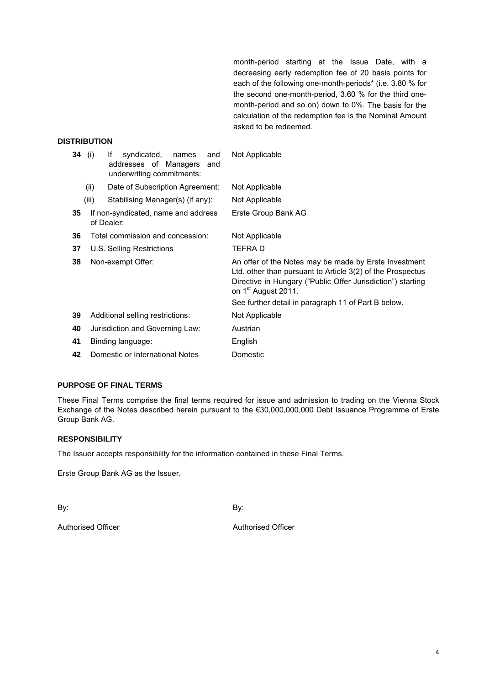month-period starting at the Issue Date, with a decreasing early redemption fee of 20 basis points for each of the following one-month-periods\* (i.e. 3.80 % for the second one-month-period, 3.60 % for the third onemonth-period and so on) down to 0%. The basis for the calculation of the redemption fee is the Nominal Amount asked to be redeemed.

# **DISTRIBUTION**

|    | <b>34</b> (i) | syndicated,<br>lf<br>and<br>names<br>addresses of Managers<br>and<br>underwriting commitments: | Not Applicable                                                                                                                                                                                                        |
|----|---------------|------------------------------------------------------------------------------------------------|-----------------------------------------------------------------------------------------------------------------------------------------------------------------------------------------------------------------------|
|    | (ii)          | Date of Subscription Agreement:                                                                | Not Applicable                                                                                                                                                                                                        |
|    | (iii)         | Stabilising Manager(s) (if any):                                                               | Not Applicable                                                                                                                                                                                                        |
| 35 |               | If non-syndicated, name and address<br>of Dealer:                                              | Erste Group Bank AG                                                                                                                                                                                                   |
| 36 |               | Total commission and concession:                                                               | Not Applicable                                                                                                                                                                                                        |
| 37 |               | U.S. Selling Restrictions                                                                      | <b>TEFRAD</b>                                                                                                                                                                                                         |
| 38 |               | Non-exempt Offer:                                                                              | An offer of the Notes may be made by Erste Investment<br>Ltd. other than pursuant to Article 3(2) of the Prospectus<br>Directive in Hungary ("Public Offer Jurisdiction") starting<br>on 1 <sup>st</sup> August 2011. |
|    |               |                                                                                                | See further detail in paragraph 11 of Part B below.                                                                                                                                                                   |
| 39 |               | Additional selling restrictions:                                                               | Not Applicable                                                                                                                                                                                                        |
| 40 |               | Jurisdiction and Governing Law:                                                                | Austrian                                                                                                                                                                                                              |
| 41 |               | Binding language:                                                                              | English                                                                                                                                                                                                               |
| 42 |               | Domestic or International Notes                                                                | Domestic                                                                                                                                                                                                              |

# **PURPOSE OF FINAL TERMS**

These Final Terms comprise the final terms required for issue and admission to trading on the Vienna Stock Exchange of the Notes described herein pursuant to the €30,000,000,000 Debt Issuance Programme of Erste Group Bank AG.

#### **RESPONSIBILITY**

The Issuer accepts responsibility for the information contained in these Final Terms.

Erste Group Bank AG as the Issuer.

By: By:

Authorised Officer **Authorised Officer** Authorised Officer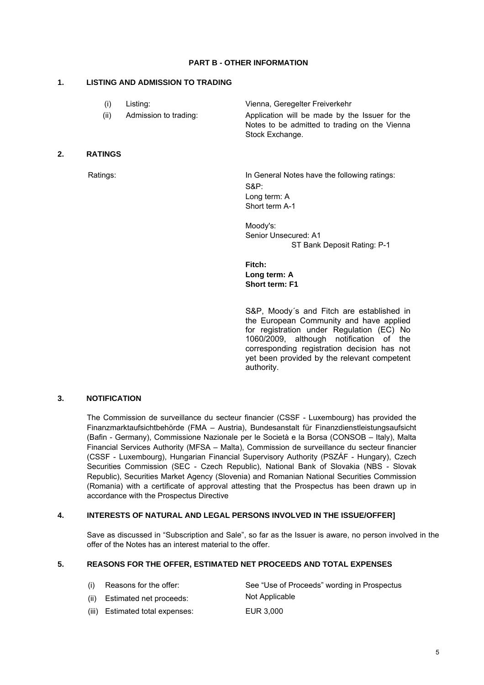# **PART B - OTHER INFORMATION**

# **1. LISTING AND ADMISSION TO TRADING**

| (1)  | Listing:              | Vienna, Geregelter Freiverkehr                                                                  |
|------|-----------------------|-------------------------------------------------------------------------------------------------|
| (ii) | Admission to trading: | Application will be made by the Issuer for the<br>Notes to be admitted to trading on the Vienna |
|      |                       | Stock Exchange.                                                                                 |

# **2. RATINGS**

Ratings: In General Notes have the following ratings: S&P: Long term: A Short term A-1

> Moody's: Senior Unsecured: A1 ST Bank Deposit Rating: P-1

**Fitch: Long term: A Short term: F1** 

S&P, Moody´s and Fitch are established in the European Community and have applied for registration under Regulation (EC) No 1060/2009, although notification of the corresponding registration decision has not yet been provided by the relevant competent authority.

# **3. NOTIFICATION**

The Commission de surveillance du secteur financier (CSSF - Luxembourg) has provided the Finanzmarktaufsichtbehörde (FMA – Austria), Bundesanstalt für Finanzdienstleistungsaufsicht (Bafin - Germany), Commissione Nazionale per le Società e la Borsa (CONSOB – Italy), Malta Financial Services Authority (MFSA – Malta), Commission de surveillance du secteur financier (CSSF - Luxembourg), Hungarian Financial Supervisory Authority (PSZÁF - Hungary), Czech Securities Commission (SEC - Czech Republic), National Bank of Slovakia (NBS - Slovak Republic), Securities Market Agency (Slovenia) and Romanian National Securities Commission (Romania) with a certificate of approval attesting that the Prospectus has been drawn up in accordance with the Prospectus Directive

# **4. INTERESTS OF NATURAL AND LEGAL PERSONS INVOLVED IN THE ISSUE/OFFER]**

Save as discussed in "Subscription and Sale", so far as the Issuer is aware, no person involved in the offer of the Notes has an interest material to the offer.

#### **5. REASONS FOR THE OFFER, ESTIMATED NET PROCEEDS AND TOTAL EXPENSES**

| (i) Reasons for the offer:      | See "Use of Proceeds" wording in Prospectus |
|---------------------------------|---------------------------------------------|
| (ii) Estimated net proceeds:    | Not Applicable                              |
| (iii) Estimated total expenses: | EUR 3.000                                   |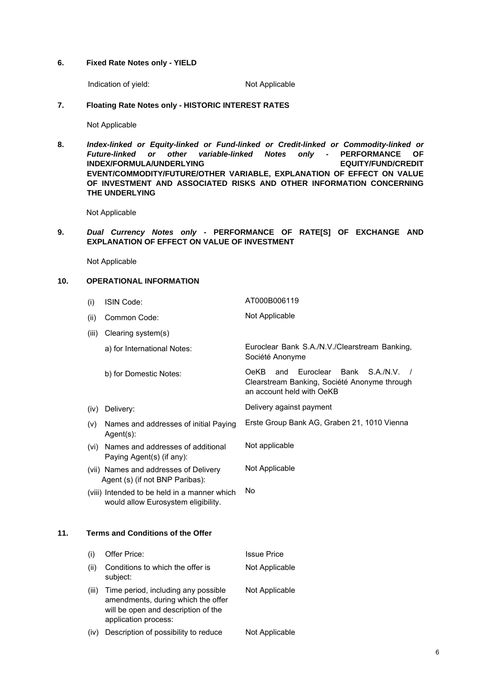#### **6. Fixed Rate Notes only - YIELD**

Indication of yield: Not Applicable

# **7. Floating Rate Notes only - HISTORIC INTEREST RATES**

Not Applicable

**8.** *Index-linked or Equity-linked or Fund-linked or Credit-linked or Commodity-linked or Future-linked or other variable-linked Notes only* **- PERFORMANCE OF INDEX/FORMULA/UNDERLYING EQUITY/FUND/CREDIT EVENT/COMMODITY/FUTURE/OTHER VARIABLE, EXPLANATION OF EFFECT ON VALUE OF INVESTMENT AND ASSOCIATED RISKS AND OTHER INFORMATION CONCERNING THE UNDERLYING** 

Not Applicable

**9.** *Dual Currency Notes only* **- PERFORMANCE OF RATE[S] OF EXCHANGE AND EXPLANATION OF EFFECT ON VALUE OF INVESTMENT** 

Not Applicable

# **10. OPERATIONAL INFORMATION**

|     | (i)   | ISIN Code:                                                                                                                               | AT000B006119                                                                                                                                      |
|-----|-------|------------------------------------------------------------------------------------------------------------------------------------------|---------------------------------------------------------------------------------------------------------------------------------------------------|
|     | (ii)  | Common Code:                                                                                                                             | Not Applicable                                                                                                                                    |
|     | (iii) | Clearing system(s)                                                                                                                       |                                                                                                                                                   |
|     |       | a) for International Notes:                                                                                                              | Euroclear Bank S.A./N.V./Clearstream Banking,<br>Société Anonyme                                                                                  |
|     |       | b) for Domestic Notes:                                                                                                                   | Euroclear<br>S.A.N.V.<br><b>OeKB</b><br>and<br>Bank<br>$\frac{1}{2}$<br>Clearstream Banking, Société Anonyme through<br>an account held with OeKB |
|     |       | (iv) Delivery:                                                                                                                           | Delivery against payment                                                                                                                          |
|     | (V)   | Names and addresses of initial Paying<br>$Agent(s)$ :                                                                                    | Erste Group Bank AG, Graben 21, 1010 Vienna                                                                                                       |
|     |       | (vi) Names and addresses of additional<br>Paying Agent(s) (if any):                                                                      | Not applicable                                                                                                                                    |
|     |       | (vii) Names and addresses of Delivery<br>Agent (s) (if not BNP Paribas):                                                                 | Not Applicable                                                                                                                                    |
|     |       | (viii) Intended to be held in a manner which<br>would allow Eurosystem eligibility.                                                      | No                                                                                                                                                |
| 11. |       | <b>Terms and Conditions of the Offer</b>                                                                                                 |                                                                                                                                                   |
|     | (i)   | Offer Price:                                                                                                                             | <b>Issue Price</b>                                                                                                                                |
|     | (ii)  | Conditions to which the offer is<br>subject:                                                                                             | Not Applicable                                                                                                                                    |
|     | (iii) | Time period, including any possible<br>amendments, during which the offer<br>will be open and description of the<br>application process: | Not Applicable                                                                                                                                    |
|     | (iv)  | Description of possibility to reduce                                                                                                     | Not Applicable                                                                                                                                    |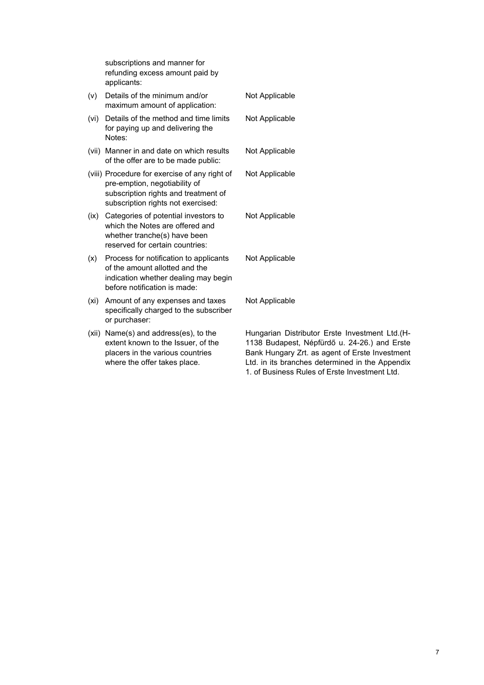|       | subscriptions and manner for<br>refunding excess amount paid by<br>applicants:                                                                               |                                                                                              |
|-------|--------------------------------------------------------------------------------------------------------------------------------------------------------------|----------------------------------------------------------------------------------------------|
| (V)   | Details of the minimum and/or<br>maximum amount of application:                                                                                              | Not Applicable                                                                               |
| (vi)  | Details of the method and time limits<br>for paying up and delivering the<br>Notes:                                                                          | Not Applicable                                                                               |
|       | (vii) Manner in and date on which results<br>of the offer are to be made public:                                                                             | Not Applicable                                                                               |
|       | (viii) Procedure for exercise of any right of<br>pre-emption, negotiability of<br>subscription rights and treatment of<br>subscription rights not exercised: | Not Applicable                                                                               |
| (ix)  | Categories of potential investors to<br>which the Notes are offered and<br>whether tranche(s) have been<br>reserved for certain countries:                   | Not Applicable                                                                               |
| (x)   | Process for notification to applicants<br>of the amount allotted and the<br>indication whether dealing may begin<br>before notification is made:             | Not Applicable                                                                               |
| (xi)  | Amount of any expenses and taxes<br>specifically charged to the subscriber<br>or purchaser:                                                                  | Not Applicable                                                                               |
| (xii) | Name(s) and address(es), to the<br>extent known to the Issuer, of the<br>placers in the various countries<br>where the offer takes place.                    | Hungarian Distributo<br>1138 Budapest, Nép<br>Bank Hungary Zrt. as<br>Ltd. in its branches d |

Hungarian Distributor Erste Investment Ltd.(H-1138 Budapest, Népfürdő u. 24-26.) and Erste Bank Hungary Zrt. as agent of Erste Investment Ltd. in its branches determined in the Appendix 1. of Business Rules of Erste Investment Ltd.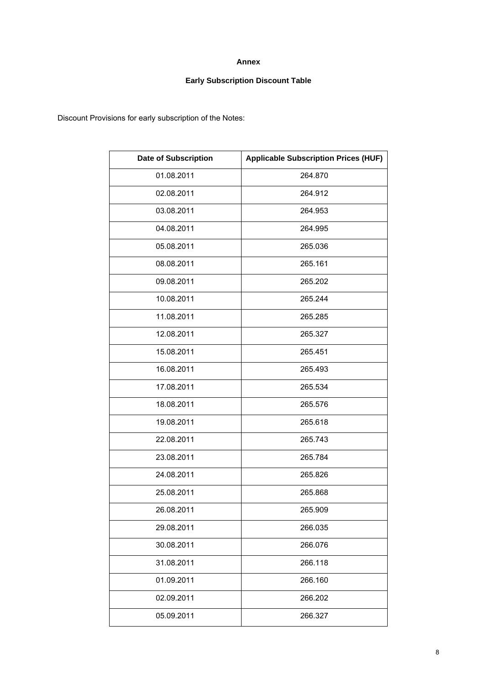# **Annex**

# **Early Subscription Discount Table**

Discount Provisions for early subscription of the Notes:

| <b>Date of Subscription</b> | <b>Applicable Subscription Prices (HUF)</b> |
|-----------------------------|---------------------------------------------|
| 01.08.2011                  | 264.870                                     |
| 02.08.2011                  | 264.912                                     |
| 03.08.2011                  | 264.953                                     |
| 04.08.2011                  | 264.995                                     |
| 05.08.2011                  | 265.036                                     |
| 08.08.2011                  | 265.161                                     |
| 09.08.2011                  | 265.202                                     |
| 10.08.2011                  | 265.244                                     |
| 11.08.2011                  | 265.285                                     |
| 12.08.2011                  | 265.327                                     |
| 15.08.2011                  | 265.451                                     |
| 16.08.2011                  | 265.493                                     |
| 17.08.2011                  | 265.534                                     |
| 18.08.2011                  | 265.576                                     |
| 19.08.2011                  | 265.618                                     |
| 22.08.2011                  | 265.743                                     |
| 23.08.2011                  | 265.784                                     |
| 24.08.2011                  | 265.826                                     |
| 25.08.2011                  | 265.868                                     |
| 26.08.2011                  | 265.909                                     |
| 29.08.2011                  | 266.035                                     |
| 30.08.2011                  | 266.076                                     |
| 31.08.2011                  | 266.118                                     |
| 01.09.2011                  | 266.160                                     |
| 02.09.2011                  | 266.202                                     |
| 05.09.2011                  | 266.327                                     |